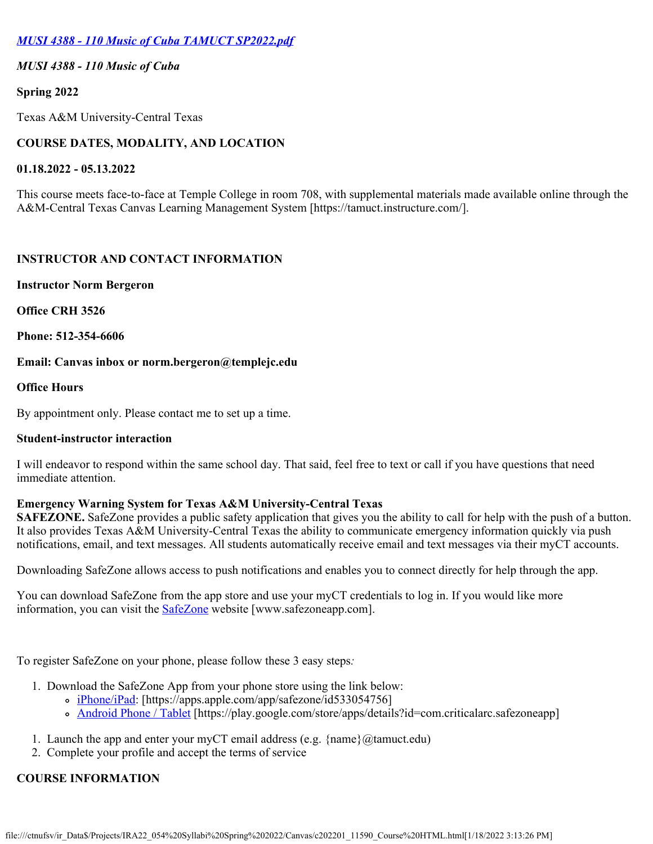# *[MUSI 4388 - 110 Music of Cuba TAMUCT SP2022.pdf](https://tamuct.instructure.com/courses/9540/files/1202106?verifier=rpcZXEiNoTQNuqAxaz43vMBtJJT8neofvKcrjEEV&wrap=1)*

## *MUSI 4388 - 110 Music of Cuba*

### **Spring 2022**

Texas A&M University-Central Texas

# **COURSE DATES, MODALITY, AND LOCATION**

### **01.18.2022 - 05.13.2022**

This course meets face-to-face at Temple College in room 708, with supplemental materials made available online through the A&M-Central Texas Canvas Learning Management System [https://tamuct.instructure.com/].

## **INSTRUCTOR AND CONTACT INFORMATION**

### **Instructor Norm Bergeron**

**Office CRH 3526**

**Phone: 512-354-6606**

### **Email: Canvas inbox or norm.bergeron@templejc.edu**

## **Office Hours**

By appointment only. Please contact me to set up a time.

## **Student-instructor interaction**

I will endeavor to respond within the same school day. That said, feel free to text or call if you have questions that need immediate attention.

## **Emergency Warning System for Texas A&M University-Central Texas**

**SAFEZONE.** SafeZone provides a public safety application that gives you the ability to call for help with the push of a button. It also provides Texas A&M University-Central Texas the ability to communicate emergency information quickly via push notifications, email, and text messages. All students automatically receive email and text messages via their myCT accounts.

Downloading SafeZone allows access to push notifications and enables you to connect directly for help through the app.

You can download SafeZone from the app store and use your myCT credentials to log in. If you would like more information, you can visit the **SafeZone** website [www.safezoneapp.com].

To register SafeZone on your phone, please follow these 3 easy steps*:*

- 1. Download the SafeZone App from your phone store using the link below:
	- o [iPhone/iPad](https://apps.apple.com/app/safezone/id533054756): [https://apps.apple.com/app/safezone/id533054756]
	- [Android Phone / Tablet](https://play.google.com/store/apps/details?id=com.criticalarc.safezoneapp) [https://play.google.com/store/apps/details?id=com.criticalarc.safezoneapp]
- 1. Launch the app and enter your myCT email address (e.g.  $\{name\}(\mathscr{A})$  ( $\mathscr{A}$ )
- 2. Complete your profile and accept the terms of service

## **COURSE INFORMATION**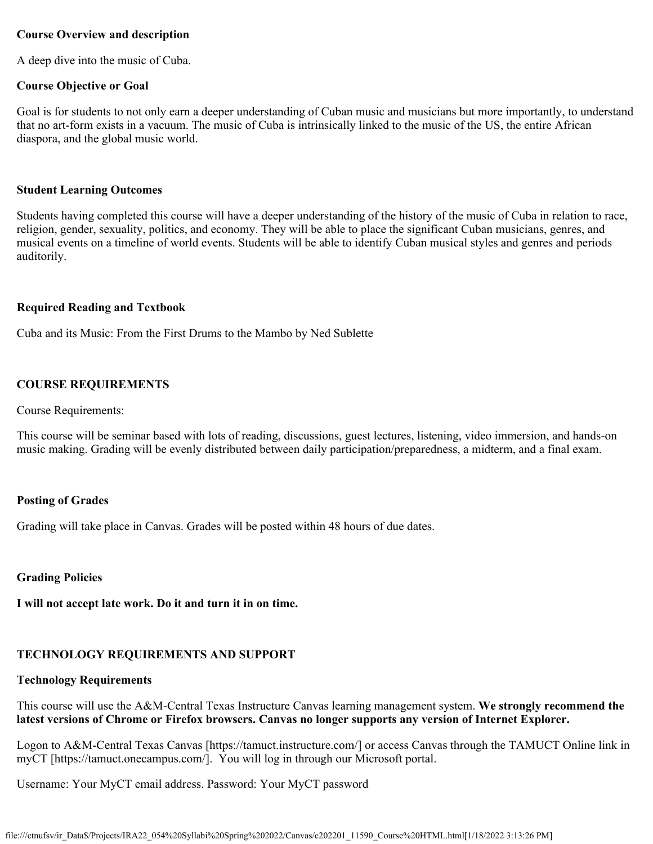### **Course Overview and description**

A deep dive into the music of Cuba.

### **Course Objective or Goal**

Goal is for students to not only earn a deeper understanding of Cuban music and musicians but more importantly, to understand that no art-form exists in a vacuum. The music of Cuba is intrinsically linked to the music of the US, the entire African diaspora, and the global music world.

### **Student Learning Outcomes**

Students having completed this course will have a deeper understanding of the history of the music of Cuba in relation to race, religion, gender, sexuality, politics, and economy. They will be able to place the significant Cuban musicians, genres, and musical events on a timeline of world events. Students will be able to identify Cuban musical styles and genres and periods auditorily.

### **Required Reading and Textbook**

Cuba and its Music: From the First Drums to the Mambo by Ned Sublette

## **COURSE REQUIREMENTS**

### Course Requirements:

This course will be seminar based with lots of reading, discussions, guest lectures, listening, video immersion, and hands-on music making. Grading will be evenly distributed between daily participation/preparedness, a midterm, and a final exam.

## **Posting of Grades**

Grading will take place in Canvas. Grades will be posted within 48 hours of due dates.

### **Grading Policies**

**I will not accept late work. Do it and turn it in on time.**

# **TECHNOLOGY REQUIREMENTS AND SUPPORT**

# **Technology Requirements**

This course will use the A&M-Central Texas Instructure Canvas learning management system. **We strongly recommend the latest versions of Chrome or Firefox browsers. Canvas no longer supports any version of Internet Explorer.**

Logon to A&M-Central Texas Canvas [https://tamuct.instructure.com/] or access Canvas through the TAMUCT Online link in myCT [https://tamuct.onecampus.com/]. You will log in through our Microsoft portal.

Username: Your MyCT email address. Password: Your MyCT password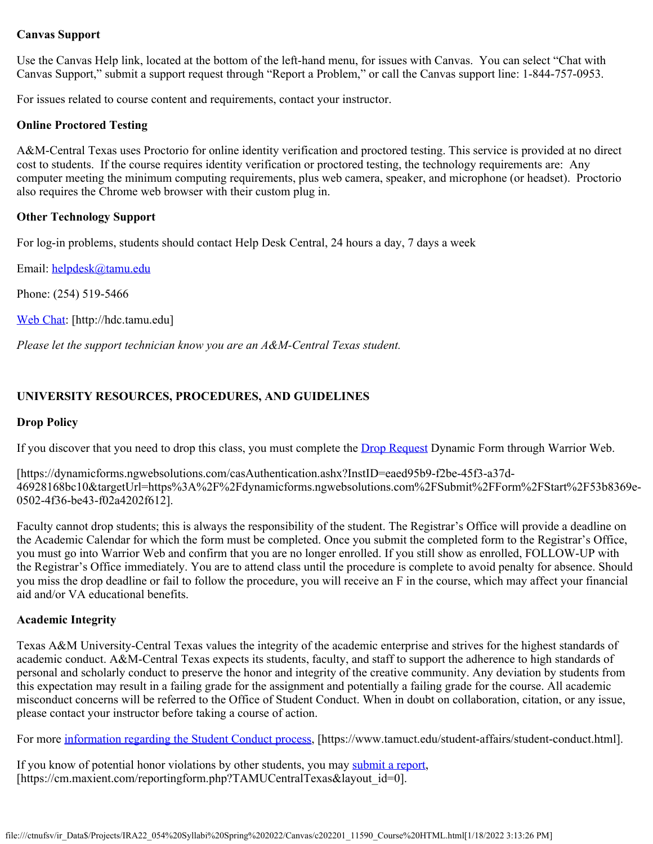## **Canvas Support**

Use the Canvas Help link, located at the bottom of the left-hand menu, for issues with Canvas. You can select "Chat with Canvas Support," submit a support request through "Report a Problem," or call the Canvas support line: 1-844-757-0953.

For issues related to course content and requirements, contact your instructor.

## **Online Proctored Testing**

A&M-Central Texas uses Proctorio for online identity verification and proctored testing. This service is provided at no direct cost to students. If the course requires identity verification or proctored testing, the technology requirements are: Any computer meeting the minimum computing requirements, plus web camera, speaker, and microphone (or headset). Proctorio also requires the Chrome web browser with their custom plug in.

## **Other Technology Support**

For log-in problems, students should contact Help Desk Central, 24 hours a day, 7 days a week

Email: [helpdesk@tamu.edu](mailto:helpdesk@tamu.edu)

Phone: (254) 519-5466

[Web Chat](http://hdc.tamu.edu/): [http://hdc.tamu.edu]

*Please let the support technician know you are an A&M-Central Texas student.*

## **UNIVERSITY RESOURCES, PROCEDURES, AND GUIDELINES**

### **Drop Policy**

If you discover that you need to drop this class, you must complete the **Drop Request** Dynamic Form through Warrior Web.

[https://dynamicforms.ngwebsolutions.com/casAuthentication.ashx?InstID=eaed95b9-f2be-45f3-a37d-46928168bc10&targetUrl=https%3A%2F%2Fdynamicforms.ngwebsolutions.com%2FSubmit%2FForm%2FStart%2F53b8369e-0502-4f36-be43-f02a4202f612].

Faculty cannot drop students; this is always the responsibility of the student. The Registrar's Office will provide a deadline on the Academic Calendar for which the form must be completed. Once you submit the completed form to the Registrar's Office, you must go into Warrior Web and confirm that you are no longer enrolled. If you still show as enrolled, FOLLOW-UP with the Registrar's Office immediately. You are to attend class until the procedure is complete to avoid penalty for absence. Should you miss the drop deadline or fail to follow the procedure, you will receive an F in the course, which may affect your financial aid and/or VA educational benefits.

### **Academic Integrity**

Texas A&M University-Central Texas values the integrity of the academic enterprise and strives for the highest standards of academic conduct. A&M-Central Texas expects its students, faculty, and staff to support the adherence to high standards of personal and scholarly conduct to preserve the honor and integrity of the creative community. Any deviation by students from this expectation may result in a failing grade for the assignment and potentially a failing grade for the course. All academic misconduct concerns will be referred to the Office of Student Conduct. When in doubt on collaboration, citation, or any issue, please contact your instructor before taking a course of action.

For more [information regarding the Student Conduct process](https://nam04.safelinks.protection.outlook.com/?url=https://www.tamuct.edu/student-affairs/student-conduct.html&data=04%257C01%257Clisa.bunkowski@tamuct.edu%257Ccfb6e486f24745f53e1a08d910055cb2%257C9eed4e3000f744849ff193ad8005acec%257C0%257C0%257C637558437485252160%257CUnknown%257CTWFpbGZsb3d8eyJWIjoiMC4wLjAwMDAiLCJQIjoiV2luMzIiLCJBTiI6Ik1haWwiLCJXVCI6Mn0=%257C1000&sdata=yjftDEVHvLX/hM/cFU0B99krV1RgEWR+J+hvtoR6TYk=&reserved=0), [https://www.tamuct.edu/student-affairs/student-conduct.html].

If you know of potential honor violations by other students, you may [submit a report](https://nam04.safelinks.protection.outlook.com/?url=https://cm.maxient.com/reportingform.php?TAMUCentralTexas&layout_id=0&data=04%257C01%257Clisa.bunkowski@tamuct.edu%257Ccfb6e486f24745f53e1a08d910055cb2%257C9eed4e3000f744849ff193ad8005acec%257C0%257C0%257C637558437485262157%257CUnknown%257CTWFpbGZsb3d8eyJWIjoiMC4wLjAwMDAiLCJQIjoiV2luMzIiLCJBTiI6Ik1haWwiLCJXVCI6Mn0=%257C1000&sdata=CXGkOa6uPDPX1IMZ87z3aZDq2n91xfHKu4MMS43Ejjk=&reserved=0), [https://cm.maxient.com/reportingform.php?TAMUCentralTexas&layout\_id=0].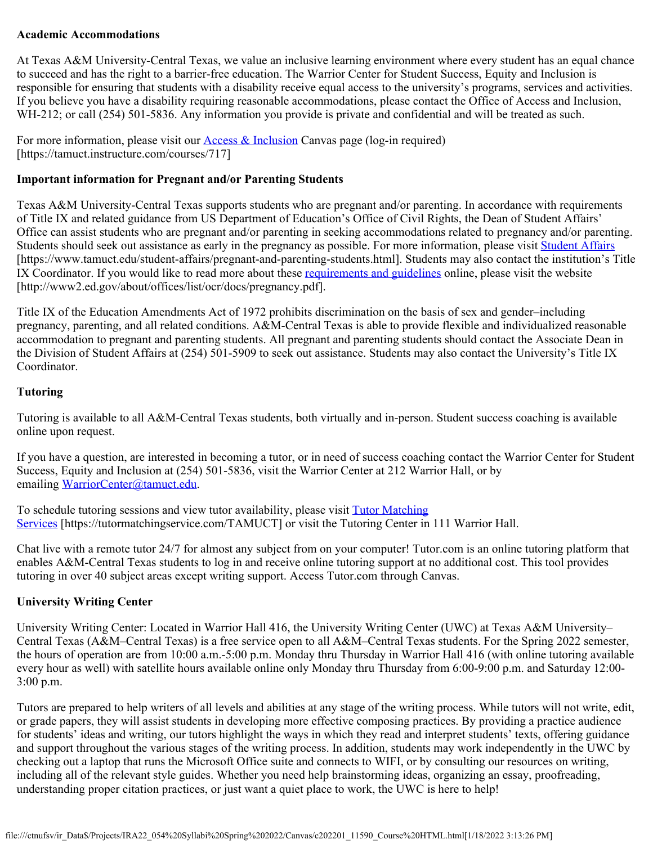## **Academic Accommodations**

At Texas A&M University-Central Texas, we value an inclusive learning environment where every student has an equal chance to succeed and has the right to a barrier-free education. The Warrior Center for Student Success, Equity and Inclusion is responsible for ensuring that students with a disability receive equal access to the university's programs, services and activities. If you believe you have a disability requiring reasonable accommodations, please contact the Office of Access and Inclusion, WH-212; or call (254) 501-5836. Any information you provide is private and confidential and will be treated as such.

For more information, please visit our **Access & Inclusion** Canvas page (log-in required) [https://tamuct.instructure.com/courses/717]

## **Important information for Pregnant and/or Parenting Students**

Texas A&M University-Central Texas supports students who are pregnant and/or parenting. In accordance with requirements of Title IX and related guidance from US Department of Education's Office of Civil Rights, the Dean of Student Affairs' Office can assist students who are pregnant and/or parenting in seeking accommodations related to pregnancy and/or parenting. Students should seek out assistance as early in the pregnancy as possible. For more information, please visit [Student Affairs](https://www.tamuct.edu/student-affairs/pregnant-and-parenting-students.html) [https://www.tamuct.edu/student-affairs/pregnant-and-parenting-students.html]. Students may also contact the institution's Title IX Coordinator. If you would like to read more about these [requirements and guidelines](http://www2.ed.gov/about/offices/list/ocr/docs/pregnancy.pdf) online, please visit the website [http://www2.ed.gov/about/offices/list/ocr/docs/pregnancy.pdf].

Title IX of the Education Amendments Act of 1972 prohibits discrimination on the basis of sex and gender–including pregnancy, parenting, and all related conditions. A&M-Central Texas is able to provide flexible and individualized reasonable accommodation to pregnant and parenting students. All pregnant and parenting students should contact the Associate Dean in the Division of Student Affairs at (254) 501-5909 to seek out assistance. Students may also contact the University's Title IX Coordinator.

## **Tutoring**

Tutoring is available to all A&M-Central Texas students, both virtually and in-person. Student success coaching is available online upon request.

If you have a question, are interested in becoming a tutor, or in need of success coaching contact the Warrior Center for Student Success, Equity and Inclusion at (254) 501-5836, visit the Warrior Center at 212 Warrior Hall, or by emailing [WarriorCenter@tamuct.edu](mailto:WarriorCenter@tamuct.edu).

To schedule tutoring sessions and view tutor availability, please visit [Tutor Matching](https://tutormatchingservice.com/TAMUCT) [Services](https://tutormatchingservice.com/TAMUCT) [https://tutormatchingservice.com/TAMUCT] or visit the Tutoring Center in 111 Warrior Hall.

Chat live with a remote tutor 24/7 for almost any subject from on your computer! Tutor.com is an online tutoring platform that enables A&M-Central Texas students to log in and receive online tutoring support at no additional cost. This tool provides tutoring in over 40 subject areas except writing support. Access Tutor.com through Canvas.

## **University Writing Center**

University Writing Center: Located in Warrior Hall 416, the University Writing Center (UWC) at Texas A&M University– Central Texas (A&M–Central Texas) is a free service open to all A&M–Central Texas students. For the Spring 2022 semester, the hours of operation are from 10:00 a.m.-5:00 p.m. Monday thru Thursday in Warrior Hall 416 (with online tutoring available every hour as well) with satellite hours available online only Monday thru Thursday from 6:00-9:00 p.m. and Saturday 12:00- 3:00 p.m.

Tutors are prepared to help writers of all levels and abilities at any stage of the writing process. While tutors will not write, edit, or grade papers, they will assist students in developing more effective composing practices. By providing a practice audience for students' ideas and writing, our tutors highlight the ways in which they read and interpret students' texts, offering guidance and support throughout the various stages of the writing process. In addition, students may work independently in the UWC by checking out a laptop that runs the Microsoft Office suite and connects to WIFI, or by consulting our resources on writing, including all of the relevant style guides. Whether you need help brainstorming ideas, organizing an essay, proofreading, understanding proper citation practices, or just want a quiet place to work, the UWC is here to help!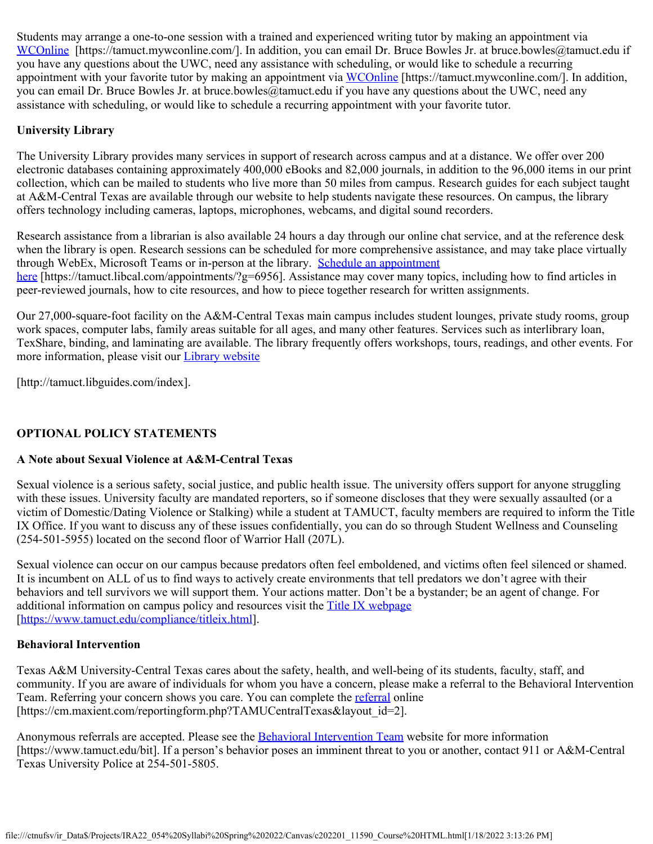Students may arrange a one-to-one session with a trained and experienced writing tutor by making an appointment via [WCOnline](https://tamuct.mywconline.com/) [https://tamuct.mywconline.com/]. In addition, you can email Dr. Bruce Bowles Jr. at bruce.bowles@tamuct.edu if you have any questions about the UWC, need any assistance with scheduling, or would like to schedule a recurring appointment with your favorite tutor by making an appointment via [WCOnline](https://tamuct.mywconline.com/) [https://tamuct.mywconline.com/]. In addition, you can email Dr. Bruce Bowles Jr. at bruce.bowles@tamuct.edu if you have any questions about the UWC, need any assistance with scheduling, or would like to schedule a recurring appointment with your favorite tutor.

## **University Library**

The University Library provides many services in support of research across campus and at a distance. We offer over 200 electronic databases containing approximately 400,000 eBooks and 82,000 journals, in addition to the 96,000 items in our print collection, which can be mailed to students who live more than 50 miles from campus. Research guides for each subject taught at A&M-Central Texas are available through our website to help students navigate these resources. On campus, the library offers technology including cameras, laptops, microphones, webcams, and digital sound recorders.

Research assistance from a librarian is also available 24 hours a day through our online chat service, and at the reference desk when the library is open. Research sessions can be scheduled for more comprehensive assistance, and may take place virtually through WebEx, Microsoft Teams or in-person at the library. [Schedule an appointment](https://nam04.safelinks.protection.outlook.com/?url=https://tamuct.libcal.com/appointments/?g=6956&data=04%257C01%257Clisa.bunkowski@tamuct.edu%257Cde2c07d9f5804f09518008d9ab7ba6ff%257C9eed4e3000f744849ff193ad8005acec%257C0%257C0%257C637729369835011558%257CUnknown%257CTWFpbGZsb3d8eyJWIjoiMC4wLjAwMDAiLCJQIjoiV2luMzIiLCJBTiI6Ik1haWwiLCJXVCI6Mn0=%257C3000&sdata=KhtjgRSAw9aq/oBsB6wyu8b7PSuGN5EGPypzr3Ty2No=&reserved=0) [here](https://nam04.safelinks.protection.outlook.com/?url=https://tamuct.libcal.com/appointments/?g=6956&data=04%257C01%257Clisa.bunkowski@tamuct.edu%257Cde2c07d9f5804f09518008d9ab7ba6ff%257C9eed4e3000f744849ff193ad8005acec%257C0%257C0%257C637729369835011558%257CUnknown%257CTWFpbGZsb3d8eyJWIjoiMC4wLjAwMDAiLCJQIjoiV2luMzIiLCJBTiI6Ik1haWwiLCJXVCI6Mn0=%257C3000&sdata=KhtjgRSAw9aq/oBsB6wyu8b7PSuGN5EGPypzr3Ty2No=&reserved=0) [https://tamuct.libcal.com/appointments/?g=6956]. Assistance may cover many topics, including how to find articles in peer-reviewed journals, how to cite resources, and how to piece together research for written assignments.

Our 27,000-square-foot facility on the A&M-Central Texas main campus includes student lounges, private study rooms, group work spaces, computer labs, family areas suitable for all ages, and many other features. Services such as interlibrary loan, TexShare, binding, and laminating are available. The library frequently offers workshops, tours, readings, and other events. For more information, please visit our **[Library website](https://nam04.safelinks.protection.outlook.com/?url=https://tamuct.libguides.com/index&data=04%257C01%257Clisa.bunkowski@tamuct.edu%257C7d8489e8839a4915335f08d916f067f2%257C9eed4e3000f744849ff193ad8005acec%257C0%257C0%257C637566044056484222%257CUnknown%257CTWFpbGZsb3d8eyJWIjoiMC4wLjAwMDAiLCJQIjoiV2luMzIiLCJBTiI6Ik1haWwiLCJXVCI6Mn0=%257C1000&sdata=2R755V6rcIyedGrd4Os5rkgn1PvhHKU3kUV1vBKiHFo=&reserved=0)** 

[http://tamuct.libguides.com/index].

# **OPTIONAL POLICY STATEMENTS**

## **A Note about Sexual Violence at A&M-Central Texas**

Sexual violence is a serious safety, social justice, and public health issue. The university offers support for anyone struggling with these issues. University faculty are mandated reporters, so if someone discloses that they were sexually assaulted (or a victim of Domestic/Dating Violence or Stalking) while a student at TAMUCT, faculty members are required to inform the Title IX Office. If you want to discuss any of these issues confidentially, you can do so through Student Wellness and Counseling (254-501-5955) located on the second floor of Warrior Hall (207L).

Sexual violence can occur on our campus because predators often feel emboldened, and victims often feel silenced or shamed. It is incumbent on ALL of us to find ways to actively create environments that tell predators we don't agree with their behaviors and tell survivors we will support them. Your actions matter. Don't be a bystander; be an agent of change. For additional information on campus policy and resources visit the [Title IX webpage](https://www.tamuct.edu/compliance/titleix.html) [\[https://www.tamuct.edu/compliance/titleix.html](https://www.tamuct.edu/compliance/titleix.html)].

### **Behavioral Intervention**

Texas A&M University-Central Texas cares about the safety, health, and well-being of its students, faculty, staff, and community. If you are aware of individuals for whom you have a concern, please make a referral to the Behavioral Intervention Team. Referring your concern shows you care. You can complete the [referral](https://cm.maxient.com/reportingform.php?TAMUCentralTexas&layout_id=2) online [https://cm.maxient.com/reportingform.php?TAMUCentralTexas&layout\_id=2].

Anonymous referrals are accepted. Please see the [Behavioral Intervention Team](https://www.tamuct.edu/bit) website for more information [https://www.tamuct.edu/bit]. If a person's behavior poses an imminent threat to you or another, contact 911 or A&M-Central Texas University Police at 254-501-5805.